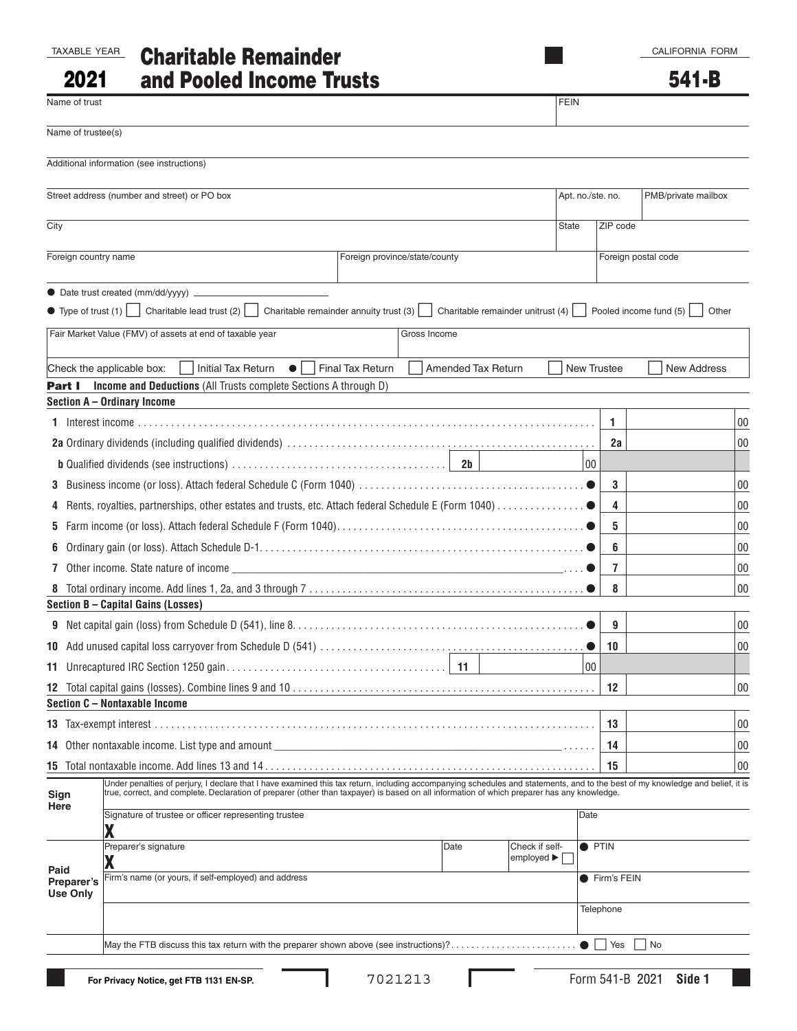CALIFORNIA FORM

541-B

| <b>TAXABLE YEAR</b> |  |
|---------------------|--|
|                     |  |

2021

# TAXABLE YEAR Charitable Remainder and Pooled Income Trusts

■

| Name of trust                 |                                              |                                                                                                                                                                                                                                                                                                                                                                     |                             |                                                                                 |  |                           |                | <b>FEIN</b>  |                   |          |                     |                     |        |
|-------------------------------|----------------------------------------------|---------------------------------------------------------------------------------------------------------------------------------------------------------------------------------------------------------------------------------------------------------------------------------------------------------------------------------------------------------------------|-----------------------------|---------------------------------------------------------------------------------|--|---------------------------|----------------|--------------|-------------------|----------|---------------------|---------------------|--------|
| Name of trustee(s)            |                                              |                                                                                                                                                                                                                                                                                                                                                                     |                             |                                                                                 |  |                           |                |              |                   |          |                     |                     |        |
|                               | Additional information (see instructions)    |                                                                                                                                                                                                                                                                                                                                                                     |                             |                                                                                 |  |                           |                |              |                   |          |                     |                     |        |
|                               | Street address (number and street) or PO box |                                                                                                                                                                                                                                                                                                                                                                     |                             |                                                                                 |  |                           |                |              | Apt. no./ste. no. |          |                     | PMB/private mailbox |        |
| City                          |                                              |                                                                                                                                                                                                                                                                                                                                                                     |                             |                                                                                 |  |                           |                | <b>State</b> |                   | ZIP code |                     |                     |        |
|                               | Foreign country name                         |                                                                                                                                                                                                                                                                                                                                                                     |                             | Foreign province/state/county                                                   |  |                           |                |              |                   |          | Foreign postal code |                     |        |
|                               |                                              |                                                                                                                                                                                                                                                                                                                                                                     |                             |                                                                                 |  |                           |                |              |                   |          |                     |                     |        |
|                               |                                              | • Type of trust (1) Charitable lead trust (2) Charitable remainder annuity trust (3) Charitable remainder unitrust (4) Pooled income fund (5)                                                                                                                                                                                                                       |                             |                                                                                 |  |                           |                |              |                   |          |                     | Other               |        |
|                               |                                              | Fair Market Value (FMV) of assets at end of taxable year                                                                                                                                                                                                                                                                                                            |                             |                                                                                 |  | Gross Income              |                |              |                   |          |                     |                     |        |
|                               | Check the applicable box:                    | <b>Initial Tax Return</b>                                                                                                                                                                                                                                                                                                                                           | $\bullet$ $\vdash$ $\vdash$ | Final Tax Return                                                                |  | <b>Amended Tax Return</b> |                |              | New Trustee       |          |                     | <b>New Address</b>  |        |
| Part I                        |                                              | Income and Deductions (All Trusts complete Sections A through D)                                                                                                                                                                                                                                                                                                    |                             |                                                                                 |  |                           |                |              |                   |          |                     |                     |        |
|                               | Section A - Ordinary Income                  |                                                                                                                                                                                                                                                                                                                                                                     |                             |                                                                                 |  |                           |                |              |                   |          |                     |                     |        |
|                               |                                              |                                                                                                                                                                                                                                                                                                                                                                     |                             |                                                                                 |  |                           |                |              | 1.                |          |                     |                     | $00\,$ |
|                               |                                              |                                                                                                                                                                                                                                                                                                                                                                     |                             |                                                                                 |  |                           |                |              |                   | 2a       |                     |                     | 00     |
|                               |                                              |                                                                                                                                                                                                                                                                                                                                                                     |                             |                                                                                 |  |                           |                |              | 00                |          |                     |                     |        |
|                               |                                              |                                                                                                                                                                                                                                                                                                                                                                     |                             |                                                                                 |  |                           |                |              |                   | 3        |                     |                     | $00\,$ |
|                               |                                              |                                                                                                                                                                                                                                                                                                                                                                     |                             |                                                                                 |  |                           |                |              |                   | 4        |                     |                     | 00     |
|                               |                                              |                                                                                                                                                                                                                                                                                                                                                                     |                             |                                                                                 |  |                           |                |              |                   | 5        |                     |                     | 00     |
|                               |                                              |                                                                                                                                                                                                                                                                                                                                                                     |                             |                                                                                 |  |                           |                |              |                   | 6        |                     |                     | 00     |
| 7                             |                                              | Other income. State nature of income $\qquad \qquad$ $\qquad \qquad$ $\qquad \qquad$ $\qquad \qquad$ $\qquad \qquad$ $\qquad \qquad$ $\qquad \qquad$ $\qquad \qquad$ $\qquad \qquad$ $\qquad \qquad$ $\qquad$ $\qquad \qquad$ $\qquad \qquad$ $\qquad \qquad$ $\qquad$ $\qquad \qquad$ $\qquad \qquad$ $\qquad \qquad$ $\qquad$ $\qquad$ $\qquad$ $\qquad$ $\qquad$ |                             |                                                                                 |  |                           |                |              |                   | 7        |                     |                     | 00     |
|                               |                                              |                                                                                                                                                                                                                                                                                                                                                                     |                             |                                                                                 |  |                           |                |              |                   | 8        |                     |                     | $00\,$ |
|                               | Section B - Capital Gains (Losses)           |                                                                                                                                                                                                                                                                                                                                                                     |                             |                                                                                 |  |                           |                |              |                   |          |                     |                     |        |
|                               |                                              |                                                                                                                                                                                                                                                                                                                                                                     |                             |                                                                                 |  |                           |                |              |                   | 9        |                     |                     | 00     |
|                               |                                              |                                                                                                                                                                                                                                                                                                                                                                     |                             |                                                                                 |  |                           |                |              | 10                |          |                     |                     | 00     |
|                               |                                              |                                                                                                                                                                                                                                                                                                                                                                     |                             |                                                                                 |  |                           |                |              | 00                |          |                     |                     |        |
|                               | Section C - Nontaxable Income                |                                                                                                                                                                                                                                                                                                                                                                     |                             |                                                                                 |  |                           |                |              | 12                |          |                     |                     | $00\,$ |
|                               |                                              |                                                                                                                                                                                                                                                                                                                                                                     |                             |                                                                                 |  |                           |                |              | 13                |          |                     |                     | $00\,$ |
|                               |                                              |                                                                                                                                                                                                                                                                                                                                                                     |                             |                                                                                 |  |                           |                |              |                   |          |                     |                     |        |
|                               |                                              | 14 Other nontaxable income. List type and amount                                                                                                                                                                                                                                                                                                                    |                             | the contract of the contract of the contract of the contract of the contract of |  |                           |                |              | 14                |          |                     |                     | 00     |
|                               |                                              | Under penalties of perjury, I declare that I have examined this tax return, including accompanying schedules and statements, and to the best of my knowledge and belief, it is                                                                                                                                                                                      |                             |                                                                                 |  |                           |                |              | 15                |          |                     |                     | 00     |
| Sign<br>Here                  |                                              | true, correct, and complete. Declaration of preparer (other than taxpayer) is based on all information of which preparer has any knowledge.                                                                                                                                                                                                                         |                             |                                                                                 |  |                           |                |              |                   |          |                     |                     |        |
|                               |                                              | Signature of trustee or officer representing trustee                                                                                                                                                                                                                                                                                                                |                             |                                                                                 |  |                           |                |              | Date              |          |                     |                     |        |
|                               | Preparer's signature                         |                                                                                                                                                                                                                                                                                                                                                                     |                             |                                                                                 |  | Date                      | Check if self- |              | <b>O</b> PTIN     |          |                     |                     |        |
| Paid                          | employed ▶                                   |                                                                                                                                                                                                                                                                                                                                                                     |                             |                                                                                 |  |                           |                |              |                   |          |                     |                     |        |
| Preparer's<br><b>Use Only</b> |                                              | Firm's name (or yours, if self-employed) and address                                                                                                                                                                                                                                                                                                                |                             |                                                                                 |  |                           |                |              | ● Firm's FEIN     |          |                     |                     |        |
|                               |                                              |                                                                                                                                                                                                                                                                                                                                                                     |                             |                                                                                 |  |                           |                |              | Telephone         |          |                     |                     |        |
|                               |                                              |                                                                                                                                                                                                                                                                                                                                                                     |                             |                                                                                 |  |                           |                |              |                   | Yes      | No                  |                     |        |
|                               |                                              |                                                                                                                                                                                                                                                                                                                                                                     |                             |                                                                                 |  |                           |                |              |                   |          |                     |                     |        |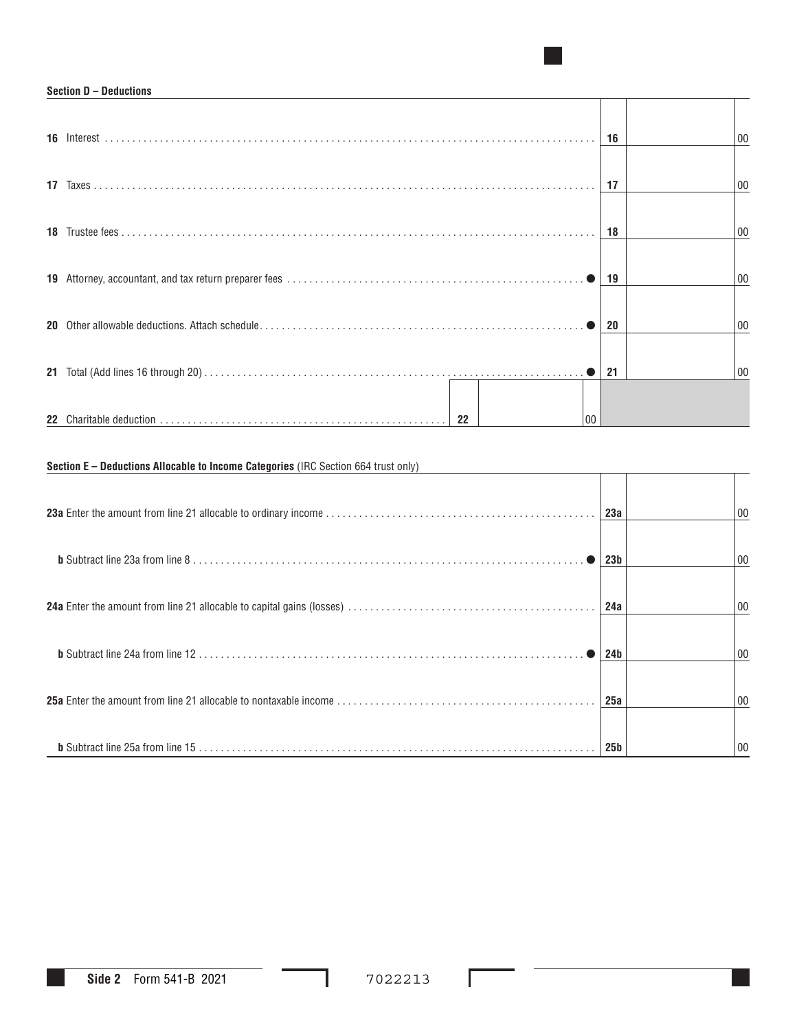### **Section D – Deductions**

|      |         | 16 | 00 |
|------|---------|----|----|
|      |         |    |    |
|      |         | 17 | 00 |
|      |         |    |    |
|      |         | 18 | 00 |
|      |         |    |    |
|      |         | 19 | 00 |
| 20 L |         | 20 | 00 |
|      |         |    |    |
|      |         | 21 | 00 |
|      |         |    |    |
|      | 22<br>n |    |    |

■

## **Section E – Deductions Allocable to Income Categories** (IRC Section 664 trust only)

| 23a             | 00 |
|-----------------|----|
| 23 <sub>b</sub> | 00 |
| 24a             | 00 |
| 24 <sub>b</sub> | 00 |
| 25a             | 00 |
| 25 <sub>b</sub> | 00 |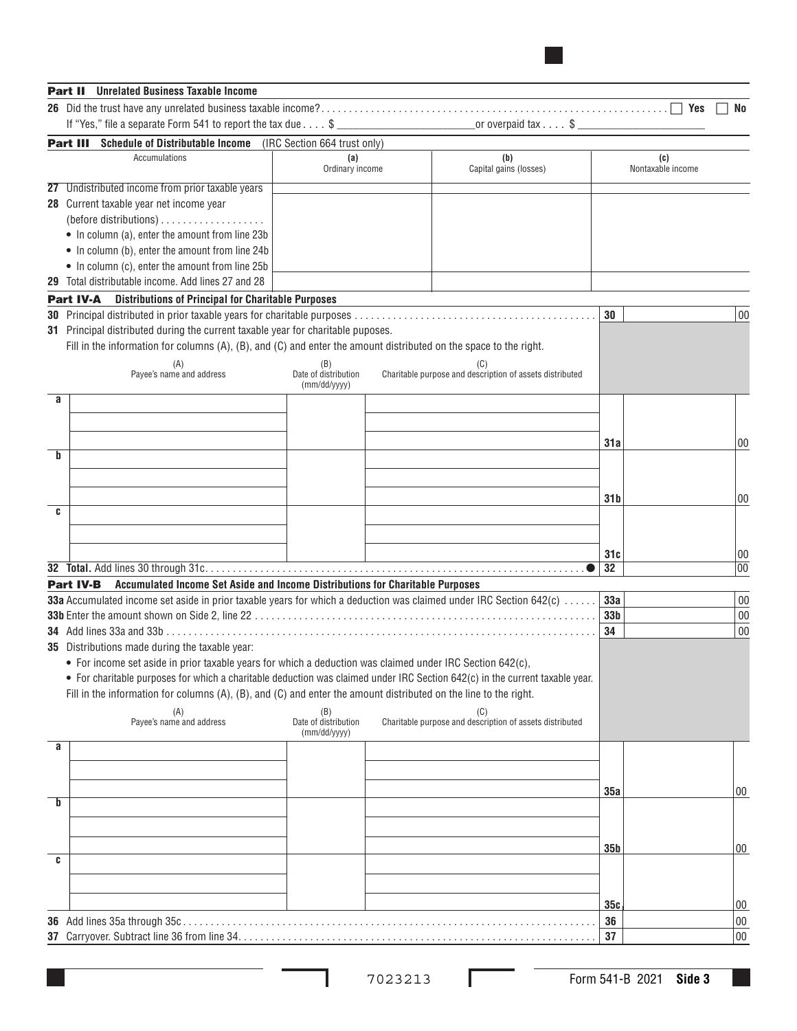|   | <b>Unrelated Business Taxable Income</b><br>Part II                                                                                                         |                                             |                                                          |                 |                          |          |
|---|-------------------------------------------------------------------------------------------------------------------------------------------------------------|---------------------------------------------|----------------------------------------------------------|-----------------|--------------------------|----------|
|   |                                                                                                                                                             |                                             |                                                          |                 | Yes                      | No       |
|   | If "Yes," file a separate Form 541 to report the tax due $\dots$ \$                                                                                         |                                             |                                                          |                 |                          |          |
|   | <b>Part III</b> Schedule of Distributable Income (IRC Section 664 trust only)                                                                               |                                             |                                                          |                 |                          |          |
|   | Accumulations                                                                                                                                               | (a)<br>Ordinary income                      | (b)<br>Capital gains (losses)                            |                 | (c)<br>Nontaxable income |          |
|   | 27 Undistributed income from prior taxable years                                                                                                            |                                             |                                                          |                 |                          |          |
|   | 28 Current taxable year net income year                                                                                                                     |                                             |                                                          |                 |                          |          |
|   |                                                                                                                                                             |                                             |                                                          |                 |                          |          |
|   | • In column (a), enter the amount from line 23b                                                                                                             |                                             |                                                          |                 |                          |          |
|   | • In column (b), enter the amount from line 24b                                                                                                             |                                             |                                                          |                 |                          |          |
|   | • In column (c), enter the amount from line 25b                                                                                                             |                                             |                                                          |                 |                          |          |
|   | 29 Total distributable income. Add lines 27 and 28                                                                                                          |                                             |                                                          |                 |                          |          |
|   | <b>Part IV-A</b> Distributions of Principal for Charitable Purposes                                                                                         |                                             |                                                          |                 |                          |          |
|   |                                                                                                                                                             |                                             |                                                          | 30              |                          | 00       |
|   | 31 Principal distributed during the current taxable year for charitable puposes.                                                                            |                                             |                                                          |                 |                          |          |
|   | Fill in the information for columns $(A)$ , $(B)$ , and $(C)$ and enter the amount distributed on the space to the right.                                   |                                             |                                                          |                 |                          |          |
|   | (A)<br>Pavee's name and address                                                                                                                             | (B)<br>Date of distribution<br>(mm/dd/yyyy) | Charitable purpose and description of assets distributed |                 |                          |          |
| a |                                                                                                                                                             |                                             |                                                          |                 |                          |          |
|   |                                                                                                                                                             |                                             |                                                          |                 |                          |          |
|   |                                                                                                                                                             |                                             |                                                          |                 |                          |          |
| b |                                                                                                                                                             |                                             |                                                          | 31a             |                          | $00\,$   |
|   |                                                                                                                                                             |                                             |                                                          |                 |                          |          |
|   |                                                                                                                                                             |                                             |                                                          |                 |                          |          |
|   |                                                                                                                                                             |                                             |                                                          | 31 b            |                          | 00       |
| C |                                                                                                                                                             |                                             |                                                          |                 |                          |          |
|   |                                                                                                                                                             |                                             |                                                          |                 |                          |          |
|   |                                                                                                                                                             |                                             |                                                          | 31c             |                          | 00       |
|   |                                                                                                                                                             |                                             |                                                          | 32              |                          | 00       |
|   | Part IV-B Accumulated Income Set Aside and Income Distributions for Charitable Purposes                                                                     |                                             |                                                          |                 |                          |          |
|   | 33a Accumulated income set aside in prior taxable years for which a deduction was claimed under IRC Section 642(c)                                          |                                             |                                                          | 33a             |                          | 00       |
|   |                                                                                                                                                             |                                             |                                                          | 33 <sub>b</sub> |                          | 00       |
|   |                                                                                                                                                             |                                             |                                                          | 34              |                          | 00       |
|   | 35 Distributions made during the taxable year:<br>• For income set aside in prior taxable years for which a deduction was claimed under IRC Section 642(c), |                                             |                                                          |                 |                          |          |
|   | • For charitable purposes for which a charitable deduction was claimed under IRC Section 642(c) in the current taxable year.                                |                                             |                                                          |                 |                          |          |
|   | Fill in the information for columns (A), (B), and (C) and enter the amount distributed on the line to the right.                                            |                                             |                                                          |                 |                          |          |
|   |                                                                                                                                                             |                                             | (C)                                                      |                 |                          |          |
|   | (A)<br>Payee's name and address                                                                                                                             | (B)<br>Date of distribution                 | Charitable purpose and description of assets distributed |                 |                          |          |
| a |                                                                                                                                                             | (mm/dd/yyyy)                                |                                                          |                 |                          |          |
|   |                                                                                                                                                             |                                             |                                                          |                 |                          |          |
|   |                                                                                                                                                             |                                             |                                                          |                 |                          |          |
|   |                                                                                                                                                             |                                             |                                                          | 35a             |                          | 00       |
| b |                                                                                                                                                             |                                             |                                                          |                 |                          |          |
|   |                                                                                                                                                             |                                             |                                                          |                 |                          |          |
|   |                                                                                                                                                             |                                             |                                                          | 35 <sub>b</sub> |                          | 00       |
| C |                                                                                                                                                             |                                             |                                                          |                 |                          |          |
|   |                                                                                                                                                             |                                             |                                                          |                 |                          |          |
|   |                                                                                                                                                             |                                             |                                                          |                 |                          |          |
|   |                                                                                                                                                             |                                             |                                                          | 35c             |                          | 00<br>00 |
|   |                                                                                                                                                             |                                             |                                                          | 36              |                          |          |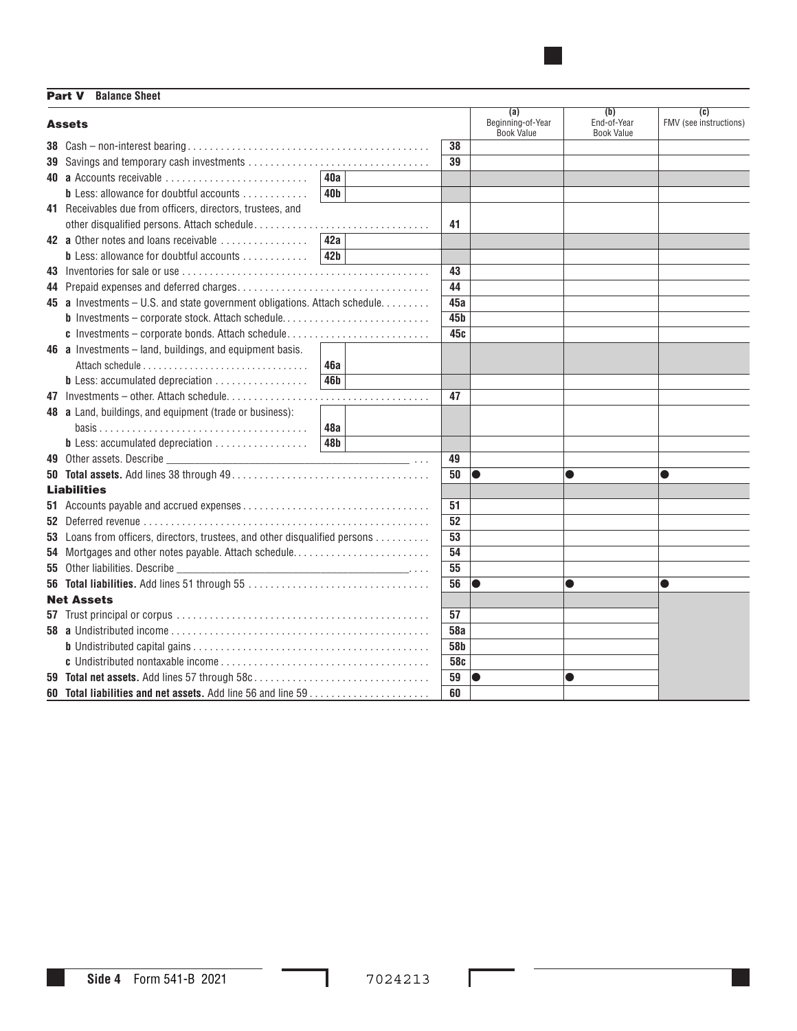Part V **Balance Sheet** 

| <b>Assets</b>                                                                                                               |                 |  |                 | (a)<br>Beginning-of-Year<br><b>Book Value</b> | (b)<br>End-of-Year<br><b>Book Value</b> | (c)<br>FMV (see instructions) |
|-----------------------------------------------------------------------------------------------------------------------------|-----------------|--|-----------------|-----------------------------------------------|-----------------------------------------|-------------------------------|
| 38 $Cash - non-interest bearing \ldots \ldots \ldots \ldots \ldots \ldots \ldots \ldots \ldots \ldots \ldots \ldots \ldots$ |                 |  | 38              |                                               |                                         |                               |
|                                                                                                                             |                 |  | 39              |                                               |                                         |                               |
| 40 a Accounts receivable                                                                                                    | 40a             |  |                 |                                               |                                         |                               |
| <b>b</b> Less: allowance for doubtful accounts                                                                              | 40 <sub>b</sub> |  |                 |                                               |                                         |                               |
| 41 Receivables due from officers, directors, trustees, and                                                                  |                 |  |                 |                                               |                                         |                               |
|                                                                                                                             |                 |  | 41              |                                               |                                         |                               |
| 42 a Other notes and loans receivable                                                                                       | 42a             |  |                 |                                               |                                         |                               |
| <b>b</b> Less: allowance for doubtful accounts                                                                              | 42 <sub>b</sub> |  |                 |                                               |                                         |                               |
|                                                                                                                             |                 |  | 43              |                                               |                                         |                               |
|                                                                                                                             |                 |  | 44              |                                               |                                         |                               |
| 45 a Investments - U.S. and state government obligations. Attach schedule.                                                  |                 |  | 45a             |                                               |                                         |                               |
| <b>b</b> Investments - corporate stock. Attach schedule                                                                     |                 |  | 45 <sub>b</sub> |                                               |                                         |                               |
| c Investments - corporate bonds. Attach schedule                                                                            |                 |  | 45c             |                                               |                                         |                               |
| 46 a Investments - land, buildings, and equipment basis.                                                                    |                 |  |                 |                                               |                                         |                               |
|                                                                                                                             | <b>46a</b>      |  |                 |                                               |                                         |                               |
| <b>b</b> Less: accumulated depreciation                                                                                     | 46 <b>b</b>     |  |                 |                                               |                                         |                               |
|                                                                                                                             |                 |  | 47              |                                               |                                         |                               |
| 48 a Land, buildings, and equipment (trade or business):                                                                    |                 |  |                 |                                               |                                         |                               |
|                                                                                                                             | 48а             |  |                 |                                               |                                         |                               |
| $b$ Less: accumulated depreciation $\ldots \ldots \ldots \ldots \ldots$                                                     | 48b             |  |                 |                                               |                                         |                               |
|                                                                                                                             |                 |  | 49              |                                               |                                         |                               |
|                                                                                                                             |                 |  | 50              | 10                                            |                                         | 0                             |
| <b>Liabilities</b>                                                                                                          |                 |  |                 |                                               |                                         |                               |
|                                                                                                                             |                 |  | 51              |                                               |                                         |                               |
|                                                                                                                             |                 |  | 52              |                                               |                                         |                               |
| 53 Loans from officers, directors, trustees, and other disqualified persons                                                 |                 |  | 53              |                                               |                                         |                               |
| 54 Mortgages and other notes payable. Attach schedule                                                                       |                 |  | 54              |                                               |                                         |                               |
| 55 Other liabilities. Describe                                                                                              |                 |  | 55              |                                               |                                         |                               |
|                                                                                                                             |                 |  | 56              |                                               |                                         | 0                             |
| <b>Net Assets</b>                                                                                                           |                 |  |                 |                                               |                                         |                               |
|                                                                                                                             |                 |  | 57              |                                               |                                         |                               |
|                                                                                                                             |                 |  | <b>58a</b>      |                                               |                                         |                               |
|                                                                                                                             |                 |  | 58 <b>b</b>     |                                               |                                         |                               |
|                                                                                                                             |                 |  | 58c             |                                               |                                         |                               |
| 59 Total net assets. Add lines 57 through 58c                                                                               |                 |  | 59              | lo                                            |                                         |                               |
|                                                                                                                             |                 |  | 60              |                                               |                                         |                               |

■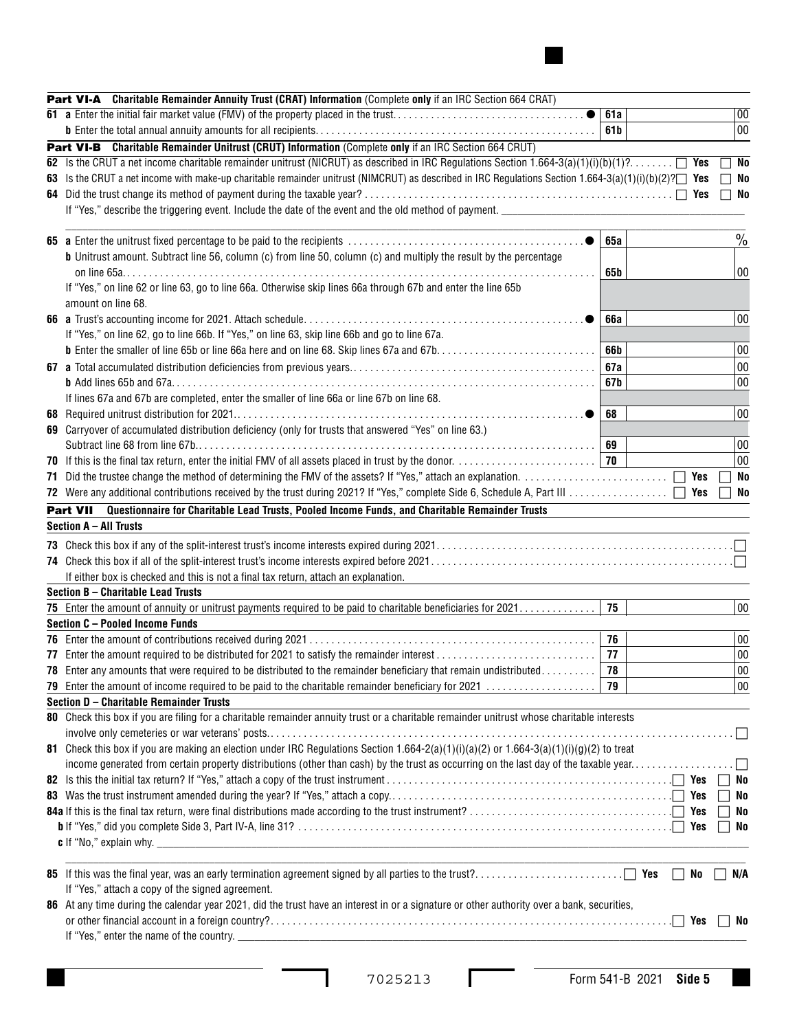| Part VI-A Charitable Remainder Annuity Trust (CRAT) Information (Complete only if an IRC Section 664 CRAT)                                            |                 |           |                |
|-------------------------------------------------------------------------------------------------------------------------------------------------------|-----------------|-----------|----------------|
| 61 a Enter the initial fair market value (FMV) of the property placed in the trust                                                                    | 61a             |           | 00             |
|                                                                                                                                                       | 61 <sub>b</sub> |           | 00             |
| Part VI-B Charitable Remainder Unitrust (CRUT) Information (Complete only if an IRC Section 664 CRUT)                                                 |                 |           |                |
| 62 Is the CRUT a net income charitable remainder unitrust (NICRUT) as described in IRC Regulations Section 1.664-3(a)(1)(i)(b)(1)?                    |                 |           | No             |
| 63 Is the CRUT a net income with make-up charitable remainder unitrust (NIMCRUT) as described in IRC Regulations Section 1.664-3(a)(1)(i)(b)(2)? [Yes |                 |           | No             |
|                                                                                                                                                       |                 |           | $\Box$ No      |
| If "Yes," describe the triggering event. Include the date of the event and the old method of payment.                                                 |                 |           |                |
|                                                                                                                                                       |                 |           |                |
|                                                                                                                                                       | <b>65a</b>      |           | $\frac{0}{0}$  |
| <b>b</b> Unitrust amount. Subtract line 56, column (c) from line 50, column (c) and multiply the result by the percentage                             |                 |           |                |
|                                                                                                                                                       | 65 b            |           | 00             |
| If "Yes," on line 62 or line 63, go to line 66a. Otherwise skip lines 66a through 67b and enter the line 65b                                          |                 |           |                |
| amount on line 68.                                                                                                                                    |                 |           |                |
|                                                                                                                                                       | <b>66a</b>      |           | 00             |
| If "Yes," on line 62, go to line 66b. If "Yes," on line 63, skip line 66b and go to line 67a.                                                         |                 |           |                |
|                                                                                                                                                       | 66b             |           | 00             |
|                                                                                                                                                       | 67a             |           | 00             |
|                                                                                                                                                       | 67b             |           | 00             |
| If lines 67a and 67b are completed, enter the smaller of line 66a or line 67b on line 68.                                                             |                 |           |                |
|                                                                                                                                                       | 68              |           | 00             |
| 69 Carryover of accumulated distribution deficiency (only for trusts that answered "Yes" on line 63.)                                                 |                 |           |                |
|                                                                                                                                                       | 69<br>70        |           | 00<br>00       |
|                                                                                                                                                       |                 |           |                |
|                                                                                                                                                       |                 | Yes       | No             |
|                                                                                                                                                       |                 | Yes       | No             |
| Part VII Questionnaire for Charitable Lead Trusts, Pooled Income Funds, and Charitable Remainder Trusts                                               |                 |           |                |
| Section A - All Trusts                                                                                                                                |                 |           |                |
|                                                                                                                                                       |                 |           |                |
|                                                                                                                                                       |                 |           |                |
| If either box is checked and this is not a final tax return, attach an explanation.                                                                   |                 |           |                |
| Section B - Charitable Lead Trusts                                                                                                                    | 75              |           |                |
| 75 Enter the amount of annuity or unitrust payments required to be paid to charitable beneficiaries for 2021.<br>Section C - Pooled Income Funds      |                 |           | 00             |
|                                                                                                                                                       | 76              |           | 00             |
|                                                                                                                                                       | 77              |           | $00\,$         |
| <b>78</b> Enter any amounts that were required to be distributed to the remainder beneficiary that remain undistributed                               | 78              |           | $00\,$         |
|                                                                                                                                                       | 79              |           | $00\,$         |
| 79 Enter the amount of income required to be paid to the charitable remainder beneficiary for 2021<br>Section D - Charitable Remainder Trusts         |                 |           |                |
| 80 Check this box if you are filing for a charitable remainder annuity trust or a charitable remainder unitrust whose charitable interests            |                 |           |                |
|                                                                                                                                                       |                 |           |                |
| 81 Check this box if you are making an election under IRC Regulations Section $1.664-2(a)(1)(i)(a)(2)$ or $1.664-3(a)(1)(i)(g)(2)$ to treat           |                 |           |                |
| income generated from certain property distributions (other than cash) by the trust as occurring on the last day of the taxable year                  |                 |           |                |
|                                                                                                                                                       |                 |           | No             |
|                                                                                                                                                       |                 |           | No             |
|                                                                                                                                                       |                 |           | No             |
|                                                                                                                                                       |                 |           | No             |
| <b>c</b> If "No," explain why. $\qquad \qquad$                                                                                                        |                 |           |                |
|                                                                                                                                                       |                 |           |                |
|                                                                                                                                                       |                 | $\Box$ No | N/A<br>$\perp$ |
| If "Yes," attach a copy of the signed agreement.                                                                                                      |                 |           |                |
| 86 At any time during the calendar year 2021, did the trust have an interest in or a signature or other authority over a bank, securities,            |                 |           |                |
|                                                                                                                                                       |                 |           | No             |
|                                                                                                                                                       |                 |           |                |
|                                                                                                                                                       |                 |           |                |

 $\overline{\phantom{a}}$